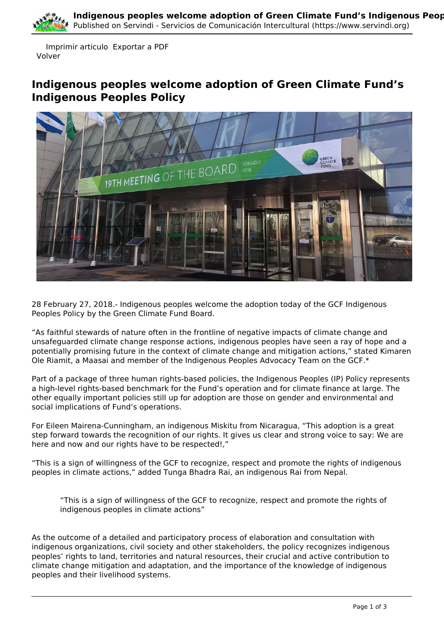

 Imprimir articulo Exportar a PDF Volver

## **Indigenous peoples welcome adoption of Green Climate Fund's Indigenous Peoples Policy**



28 February 27, 2018.- Indigenous peoples welcome the adoption today of the GCF Indigenous Peoples Policy by the Green Climate Fund Board.

"As faithful stewards of nature often in the frontline of negative impacts of climate change and unsafeguarded climate change response actions, indigenous peoples have seen a ray of hope and a potentially promising future in the context of climate change and mitigation actions," stated Kimaren Ole Riamit, a Maasai and member of the Indigenous Peoples Advocacy Team on the GCF.\*

Part of a package of three human rights-based policies, the Indigenous Peoples (IP) Policy represents a high-level rights-based benchmark for the Fund's operation and for climate finance at large. The other equally important policies still up for adoption are those on gender and environmental and social implications of Fund's operations.

For Eileen Mairena-Cunningham, an indigenous Miskitu from Nicaragua, "This adoption is a great step forward towards the recognition of our rights. It gives us clear and strong voice to say: We are here and now and our rights have to be respected!,"

"This is a sign of willingness of the GCF to recognize, respect and promote the rights of indigenous peoples in climate actions," added Tunga Bhadra Rai, an indigenous Rai from Nepal.

"This is a sign of willingness of the GCF to recognize, respect and promote the rights of indigenous peoples in climate actions"

As the outcome of a detailed and participatory process of elaboration and consultation with indigenous organizations, civil society and other stakeholders, the policy recognizes indigenous peoples' rights to land, territories and natural resources, their crucial and active contribution to climate change mitigation and adaptation, and the importance of the knowledge of indigenous peoples and their livelihood systems.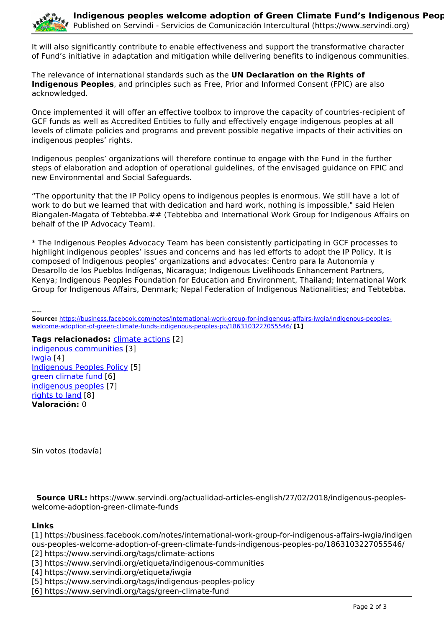

It will also significantly contribute to enable effectiveness and support the transformative character of Fund's initiative in adaptation and mitigation while delivering benefits to indigenous communities.

The relevance of international standards such as the **UN Declaration on the Rights of Indigenous Peoples**, and principles such as Free, Prior and Informed Consent (FPIC) are also acknowledged.

Once implemented it will offer an effective toolbox to improve the capacity of countries-recipient of GCF funds as well as Accredited Entities to fully and effectively engage indigenous peoples at all levels of climate policies and programs and prevent possible negative impacts of their activities on indigenous peoples' rights.

Indigenous peoples' organizations will therefore continue to engage with the Fund in the further steps of elaboration and adoption of operational guidelines, of the envisaged guidance on FPIC and new Environmental and Social Safeguards.

"The opportunity that the IP Policy opens to indigenous peoples is enormous. We still have a lot of work to do but we learned that with dedication and hard work, nothing is impossible," said Helen Biangalen-Magata of Tebtebba.## (Tebtebba and International Work Group for Indigenous Affairs on behalf of the IP Advocacy Team).

\* The Indigenous Peoples Advocacy Team has been consistently participating in GCF processes to highlight indigenous peoples' issues and concerns and has led efforts to adopt the IP Policy. It is composed of Indigenous peoples' organizations and advocates: Centro para la Autonomía y Desarollo de los Pueblos Indígenas, Nicaragua; Indigenous Livelihoods Enhancement Partners, Kenya; Indigenous Peoples Foundation for Education and Environment, Thailand; International Work Group for Indigenous Affairs, Denmark; Nepal Federation of Indigenous Nationalities; and Tebtebba.

**---- Source:** [https://business.facebook.com/notes/international-work-group-for-indigenous-affairs-iwgia/indigenous-peoples](https://business.facebook.com/notes/international-work-group-for-indigenous-affairs-iwgia/indigenous-peoples-welcome-adoption-of-green-climate-funds-indigenous-peoples-po/1863103227055546/)[welcome-adoption-of-green-climate-funds-indigenous-peoples-po/1863103227055546/](https://business.facebook.com/notes/international-work-group-for-indigenous-affairs-iwgia/indigenous-peoples-welcome-adoption-of-green-climate-funds-indigenous-peoples-po/1863103227055546/) **[1]**

**Tags relacionados:** [climate actions](https://www.servindi.org/tags/climate-actions) [2] [indigenous communities](https://www.servindi.org/etiqueta/indigenous-communities) [3] [Iwgia](https://www.servindi.org/etiqueta/iwgia) [4] [Indigenous Peoples Policy](https://www.servindi.org/tags/indigenous-peoples-policy) [5] [green climate fund](https://www.servindi.org/tags/green-climate-fund) [6] [indigenous peoples](https://www.servindi.org/etiqueta/indigenous-peoples) [7] [rights to land](https://www.servindi.org/tags/rights-land) [8] **Valoración:** 0

Sin votos (todavía)

 **Source URL:** https://www.servindi.org/actualidad-articles-english/27/02/2018/indigenous-peopleswelcome-adoption-green-climate-funds

## **Links**

[1] https://business.facebook.com/notes/international-work-group-for-indigenous-affairs-iwgia/indigen ous-peoples-welcome-adoption-of-green-climate-funds-indigenous-peoples-po/1863103227055546/

[2] https://www.servindi.org/tags/climate-actions

[3] https://www.servindi.org/etiqueta/indigenous-communities

[4] https://www.servindi.org/etiqueta/iwgia

[5] https://www.servindi.org/tags/indigenous-peoples-policy

[6] https://www.servindi.org/tags/green-climate-fund